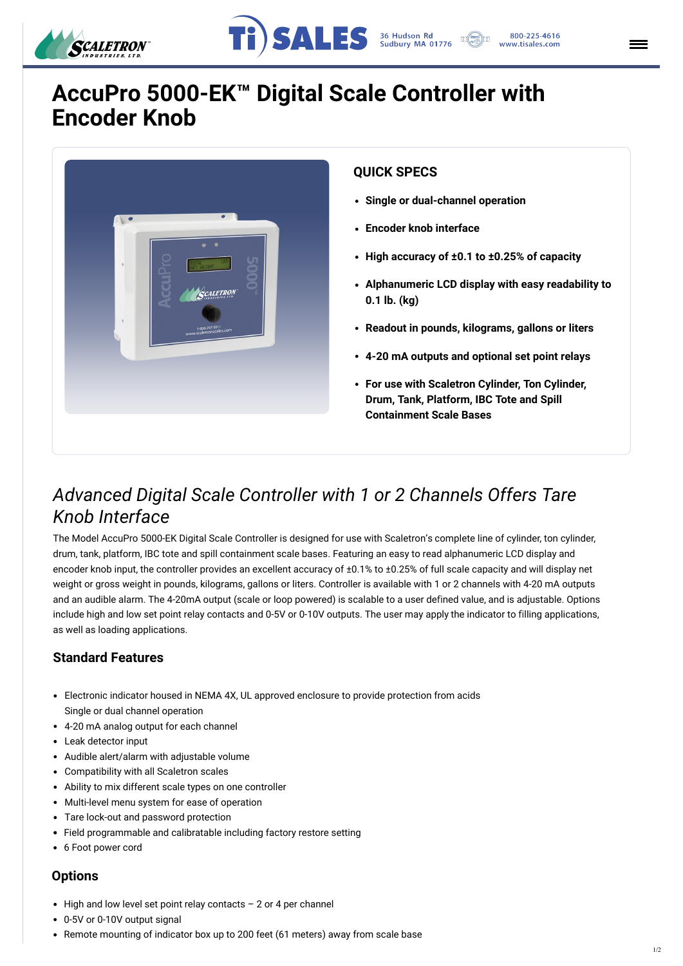



## **AccuPro 5000-EK™ Digital Scale Controller with Encoder Knob**



#### **QUICK SPECS**

- **Single or dual-channel operation**
- **Encoder knob interface**
- **High accuracy of ±0.1 to ±0.25% of capacity**
- **Alphanumeric LCD display with easy readability to 0.1 lb. (kg)**
- **Readout in pounds, kilograms, gallons or liters**
- **4-20 mA outputs and optional set point relays**
- **For use with Scaletron Cylinder, Ton Cylinder, Drum, Tank, Platform, IBC Tote and Spill Containment Scale Bases**

### *Advanced Digital Scale Controller with 1 or 2 Channels Offers Tare Knob Interface*

The Model AccuPro 5000-EK Digital Scale Controller is designed for use with Scaletron's complete line of cylinder, ton cylinder, drum, tank, platform, IBC tote and spill containment scale bases. Featuring an easy to read alphanumeric LCD display and encoder knob input, the controller provides an excellent accuracy of ±0.1% to ±0.25% of full scale capacity and will display net weight or gross weight in pounds, kilograms, gallons or liters. Controller is available with 1 or 2 channels with 4-20 mA outputs and an audible alarm. The 4-20mA output (scale or loop powered) is scalable to a user defined value, a[nd is adjustable. Options](https://scaletron.staging.wpengine.com/) include high and low set point relay contacts and 0-5V or 0-10V outputs. The user may apply the indicator to filling applications, as well as loading applications.

- $\bullet$  High and low level set point relay contacts  $-$  2 or 4 per channel
- 0-5V or 0-10V output signal
- Remote mounting of indicator box up to 200 feet (61 meters) away from scale base

#### **Standard Features**

- Electronic indicator housed in NEMA 4X, UL approved enclosure to provide protection from acids Single or dual channel operation
- 4-20 mA analog output for each channel
- Leak detector input
- Audible alert/alarm with adjustable volume
- Compatibility with all Scaletron scales
- Ability to mix different scale types on one controller
- Multi-level menu system for ease of operation
- Tare lock-out and password protection
- Field programmable and calibratable including factory restore setting
- 6 Foot power cord

#### **Options**